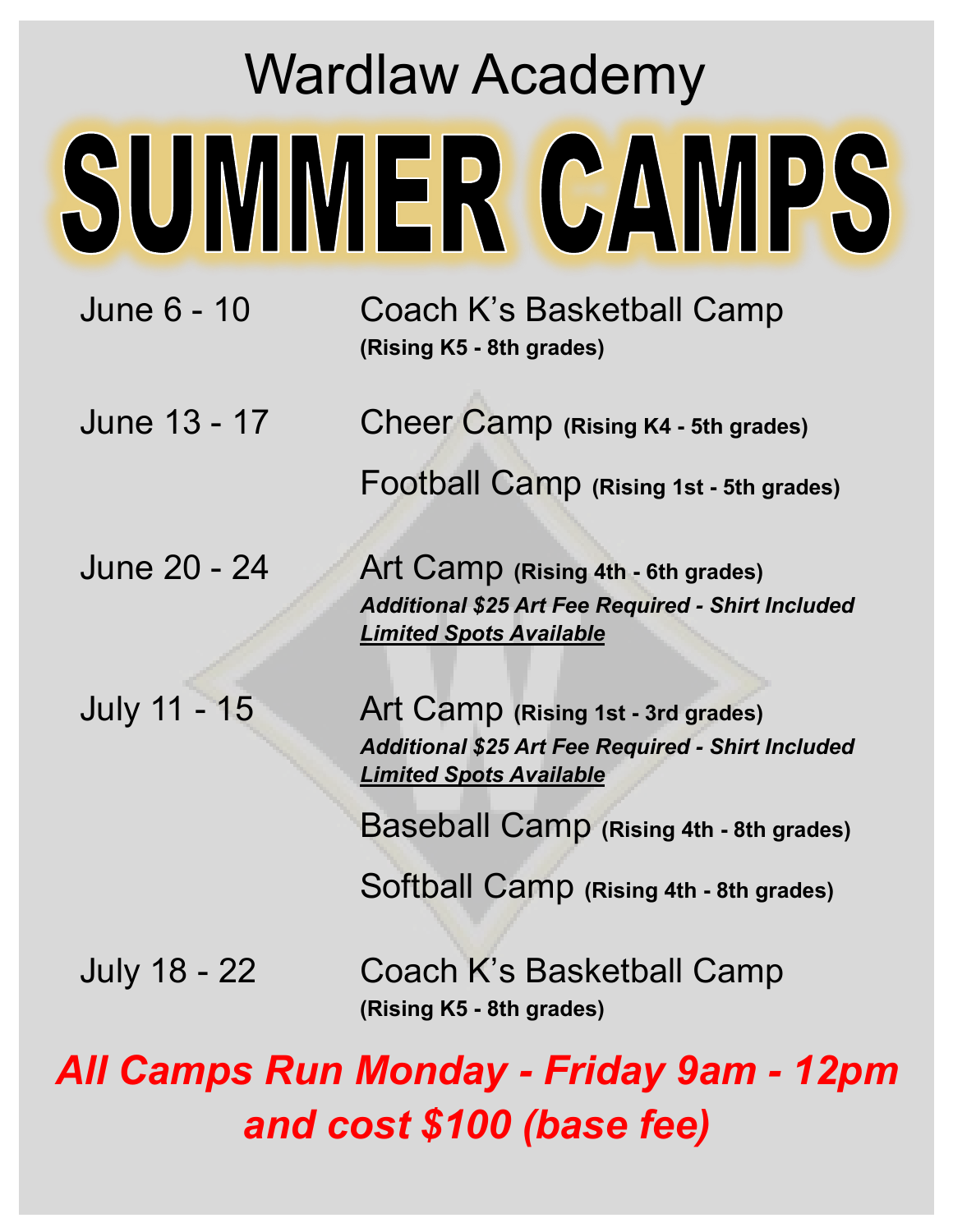## Wardlaw Academy SUMMER CAMPS

June 6 - 10 Coach K's Basketball Camp **(Rising K5 - 8th grades)**

June 13 - 17 Cheer Camp **(Rising K4 - 5th grades)** Football Camp **(Rising 1st - 5th grades)**

June 20 - 24 Art Camp **(Rising 4th - 6th grades)** *Additional \$25 Art Fee Required - Shirt Included Limited Spots Available*

July 11 - 15 Art Camp **(Rising 1st - 3rd grades)** *Additional \$25 Art Fee Required - Shirt Included Limited Spots Available*

Baseball Camp **(Rising 4th - 8th grades)**

Softball Camp **(Rising 4th - 8th grades)**

July 18 - 22 Coach K's Basketball Camp **(Rising K5 - 8th grades)**

*All Camps Run Monday - Friday 9am - 12pm and cost \$100 (base fee)*